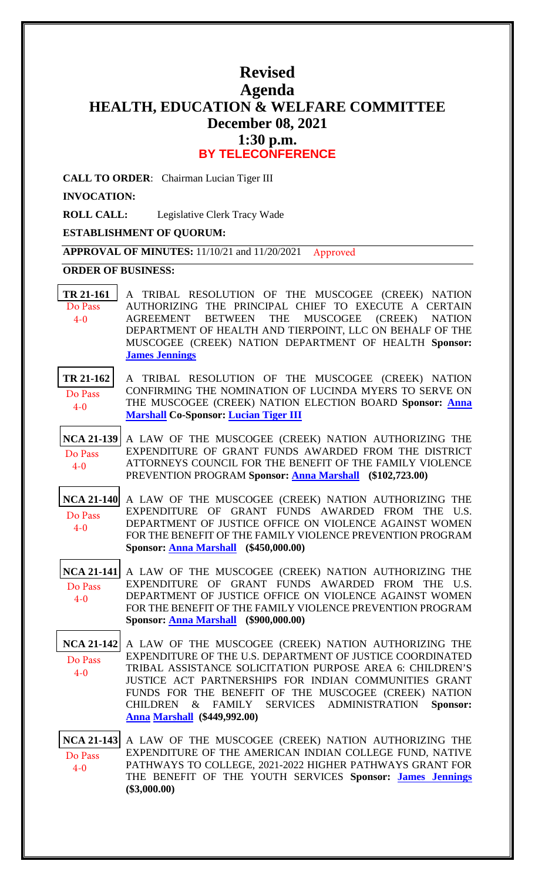# **Revised Agenda HEALTH, EDUCATION & WELFARE COMMITTEE December 08, 2021 1:30 p.m. BY TELECONFERENCE**

**CALL TO ORDER**: Chairman Lucian Tiger III

**INVOCATION:**

**ROLL CALL:** Legislative Clerk Tracy Wade

## **ESTABLISHMENT OF QUORUM:**

**APPROVAL OF MINUTES:** 11/10/21 and 11/20/2021 Approved

### **ORDER OF BUSINESS:**

- **[TR 21-161](bills/21-161.pdf)** A TRIBAL RESOLUTION OF THE MUSCOGEE (CREEK) NATION AUTHORIZING THE PRINCIPAL CHIEF TO EXECUTE A CERTAIN AGREEMENT BETWEEN THE MUSCOGEE (CREEK) NATION DEPARTMENT OF HEALTH AND TIERPOINT, LLC ON BEHALF OF THE MUSCOGEE (CREEK) NATION DEPARTMENT OF HEALTH **Sponsor: [James Jennings](mailto:jjennings@mcn-nsn.gov)** Do Pass 4-0
- **[TR 21-162](bills/21-162.pdf)** A TRIBAL RESOLUTION OF THE MUSCOGEE (CREEK) NATION CONFIRMING THE NOMINATION OF LUCINDA MYERS TO SERVE ON THE MUSCOGEE (CREEK) NATION ELECTION BOARD **Sponsor: [Anna](mailto:amarshall@mcn-nsn.gov)  [Marshall](mailto:amarshall@mcn-nsn.gov) Co-Sponsor: [Lucian Tiger III](mailto:ltiger@mcn-nsn.gov)** Do Pass 4-0
- **[NCA 21-139](bills/NCA21-139.pdf)** A LAW OF THE MUSCOGEE (CREEK) NATION AUTHORIZING THE EXPENDITURE OF GRANT FUNDS AWARDED FROM THE DISTRICT ATTORNEYS COUNCIL FOR THE BENEFIT OF THE FAMILY VIOLENCE PREVENTION PROGRAM **Sponsor: [Anna Marshall](mailto:amarshall@mcn-nsn.gov) (\$102,723.00)** Do Pass 4-0
- **[NCA 21-140](bills/NCA21-140.pdf)** A LAW OF THE MUSCOGEE (CREEK) NATION AUTHORIZING THE EXPENDITURE OF GRANT FUNDS AWARDED FROM THE U.S. DEPARTMENT OF JUSTICE OFFICE ON VIOLENCE AGAINST WOMEN FOR THE BENEFIT OF THE FAMILY VIOLENCE PREVENTION PROGRAM **Sponsor: [Anna Marshall](mailto:amarshall@mcn-nsn.gov) (\$450,000.00)**  Do Pass 4-0
- **[NCA 21-141](bills/NCA21-141.pdf)** A LAW OF THE MUSCOGEE (CREEK) NATION AUTHORIZING THE EXPENDITURE OF GRANT FUNDS AWARDED FROM THE U.S. DEPARTMENT OF JUSTICE OFFICE ON VIOLENCE AGAINST WOMEN FOR THE BENEFIT OF THE FAMILY VIOLENCE PREVENTION PROGRAM **Sponsor: [Anna Marshall](mailto:amarshall@mcn-nsn.gov) (\$900,000.00)**  Do Pass 4-0
- **[NCA 21-142](bills/NCA21-142.pdf)** A LAW OF THE MUSCOGEE (CREEK) NATION AUTHORIZING THE EXPENDITURE OF THE U.S. DEPARTMENT OF JUSTICE COORDINATED TRIBAL ASSISTANCE SOLICITATION PURPOSE AREA 6: CHILDREN'S JUSTICE ACT PARTNERSHIPS FOR INDIAN COMMUNITIES GRANT FUNDS FOR THE BENEFIT OF THE MUSCOGEE (CREEK) NATION CHILDREN & FAMILY SERVICES ADMINISTRATION **Sp[onsor:](mailto:amarshall@mcn-nsn.gov)  [Anna Mar](mailto:amarshall@mcn-nsn.gov)shall (\$449,992.00)**  Do Pass 4-0

**[NCA 21-143](bills/NCA21-143.pdf)** A LAW OF THE MUSCOGEE (CREEK) NATION AUTHORIZING THE EXPENDITURE OF THE AMERICAN INDIAN COLLEGE FUND, NATIVE PATHWAYS TO COLLEGE, 2021-2022 HIGHER PATHWAYS GRANT FOR THE BENEFIT OF THE YOUTH SERVICES **Sponsor: [James Jennings](mailto:jjennings@mcn-nsn.gov) (\$3,000.00)** Do Pass 4-0